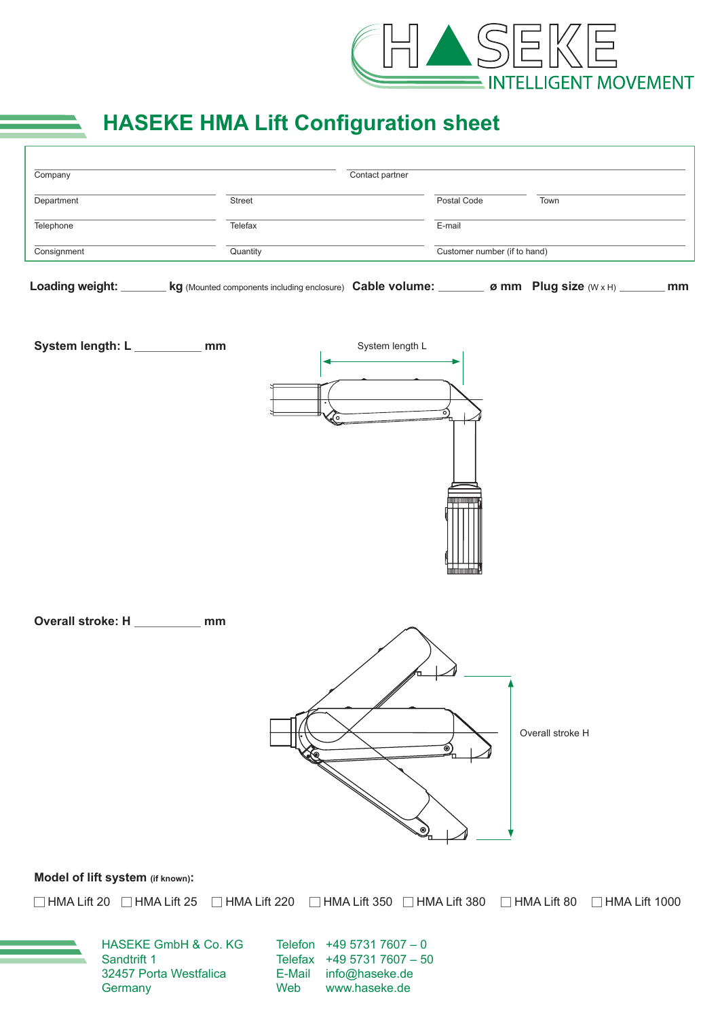

## **HASEKE HMA Lift Configuration sheet**

| Company         |                                                                                                                     | Contact partner |             |                              |  |
|-----------------|---------------------------------------------------------------------------------------------------------------------|-----------------|-------------|------------------------------|--|
| Department      | <b>Street</b>                                                                                                       |                 | Postal Code | Town                         |  |
| Telephone       | Telefax                                                                                                             |                 | E-mail      |                              |  |
| Consignment     | Quantity                                                                                                            |                 |             | Customer number (if to hand) |  |
|                 |                                                                                                                     |                 |             |                              |  |
| Loading weight: | <b>kg</b> (Mounted components including enclosure) <b>Cable volume:</b> $\Box$ <b>ø mm</b> Plug size (W x H) $\Box$ |                 |             | mm                           |  |

Overall stroke: H \_\_\_\_\_\_\_\_\_ mm



**Model of lift system (if known):**

□ HMA Lift 20 □ HMA Lift 25 □ HMA Lift 220 □ HMA Lift 350 □ HMA Lift 380 □ HMA Lift 80 □ HMA Lift 1000

HASEKE GmbH & Co. KG Sandtrift 1 32457 Porta Westfalica **Germany** 

Telefon +49 5731 7607 – 0 Telefax +49 5731 7607 – 50 E-Mail info@haseke.de<br>Web www.haseke.de www.haseke.de